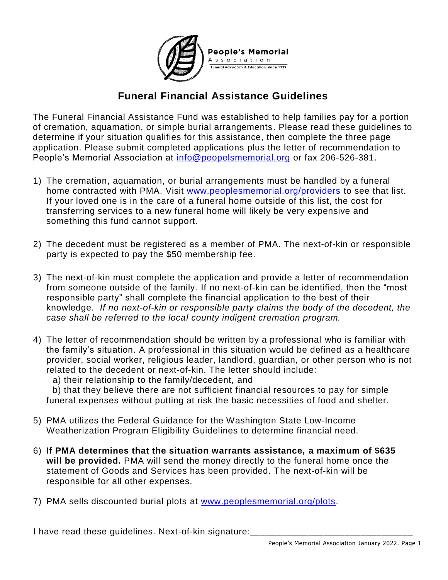

## **Funeral Financial Assistance Guidelines**

The Funeral Financial Assistance Fund was established to help families pay for a portion of cremation, aquamation, or simple burial arrangements. Please read these guidelines to determine if your situation qualifies for this assistance, then complete the three page application. Please submit completed applications plus the letter of recommendation to People's Memorial Association at [info@peopelsmemorial.org](mailto:info@peopelsmemorial.org) or fax 206-526-381.

- 1) The cremation, aquamation, or burial arrangements must be handled by a funeral home contracted with PMA. Visit [www.peoplesmemorial.org/providers](http://www.peoplesmemorial.org/providers) to see that list. If your loved one is in the care of a funeral home outside of this list, the cost for transferring services to a new funeral home will likely be very expensive and something this fund cannot support.
- 2) The decedent must be registered as a member of PMA. The next-of-kin or responsible party is expected to pay the \$50 membership fee.
- 3) The next-of-kin must complete the application and provide a letter of recommendation from someone outside of the family. If no next-of-kin can be identified, then the "most responsible party" shall complete the financial application to the best of their knowledge. *If no next-of-kin or responsible party claims the body of the decedent, the case shall be referred to the local county indigent cremation program.*
- 4) The letter of recommendation should be written by a professional who is familiar with the family's situation. A professional in this situation would be defined as a healthcare provider, social worker, religious leader, landlord, guardian, or other person who is not related to the decedent or next-of-kin. The letter should include:
	- a) their relationship to the family/decedent, and

b) that they believe there are not sufficient financial resources to pay for simple funeral expenses without putting at risk the basic necessities of food and shelter.

- 5) PMA utilizes the Federal Guidance for the Washington State Low-Income Weatherization Program Eligibility Guidelines to determine financial need.
- 6) **If PMA determines that the situation warrants assistance, a maximum of \$635 will be provided.** PMA will send the money directly to the funeral home once the statement of Goods and Services has been provided. The next-of-kin will be responsible for all other expenses.
- 7) PMA sells discounted burial plots at [www.peoplesmemorial.org/plots.](http://www.peoplesmemorial.org/plots)

I have read these guidelines. Next-of-kin signature: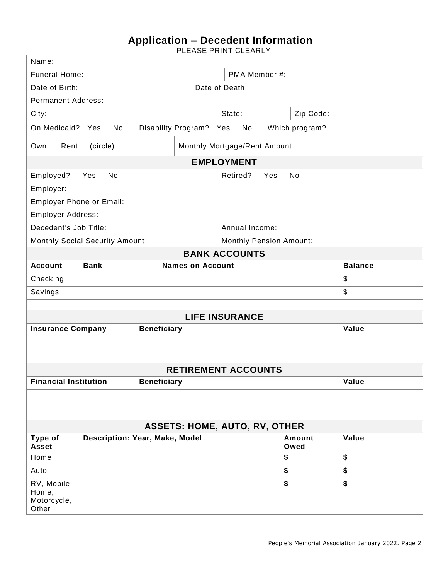## **Application – Decedent Information**

PLEASE PRINT CLEARLY

| Name:                                                     |                                                   |                                |                            |                       |                |       |    |  |  |  |  |
|-----------------------------------------------------------|---------------------------------------------------|--------------------------------|----------------------------|-----------------------|----------------|-------|----|--|--|--|--|
| <b>Funeral Home:</b>                                      |                                                   |                                |                            |                       | PMA Member #:  |       |    |  |  |  |  |
| Date of Death:<br>Date of Birth:                          |                                                   |                                |                            |                       |                |       |    |  |  |  |  |
| <b>Permanent Address:</b>                                 |                                                   |                                |                            |                       |                |       |    |  |  |  |  |
| City:                                                     |                                                   | State:<br>Zip Code:            |                            |                       |                |       |    |  |  |  |  |
| On Medicaid?                                              | Disability Program? Yes<br>No<br>Yes              |                                |                            | No                    | Which program? |       |    |  |  |  |  |
| Own                                                       | Monthly Mortgage/Rent Amount:<br>Rent<br>(circle) |                                |                            |                       |                |       |    |  |  |  |  |
| <b>EMPLOYMENT</b>                                         |                                                   |                                |                            |                       |                |       |    |  |  |  |  |
| Employed?                                                 | No<br>Yes                                         |                                |                            | Retired?<br>No<br>Yes |                |       |    |  |  |  |  |
| Employer:                                                 |                                                   |                                |                            |                       |                |       |    |  |  |  |  |
| Employer Phone or Email:                                  |                                                   |                                |                            |                       |                |       |    |  |  |  |  |
| Employer Address:                                         |                                                   |                                |                            |                       |                |       |    |  |  |  |  |
| Decedent's Job Title:                                     |                                                   |                                |                            |                       | Annual Income: |       |    |  |  |  |  |
| <b>Monthly Social Security Amount:</b>                    |                                                   | <b>Monthly Pension Amount:</b> |                            |                       |                |       |    |  |  |  |  |
| <b>BANK ACCOUNTS</b>                                      |                                                   |                                |                            |                       |                |       |    |  |  |  |  |
| <b>Account</b>                                            | <b>Bank</b>                                       |                                | <b>Balance</b>             |                       |                |       |    |  |  |  |  |
| Checking                                                  |                                                   |                                |                            |                       |                | \$    |    |  |  |  |  |
| Savings                                                   |                                                   |                                |                            |                       |                | \$    |    |  |  |  |  |
|                                                           |                                                   |                                |                            |                       |                |       |    |  |  |  |  |
| <b>LIFE INSURANCE</b>                                     |                                                   |                                |                            |                       |                |       |    |  |  |  |  |
| <b>Insurance Company</b>                                  |                                                   |                                | <b>Beneficiary</b>         |                       | Value          |       |    |  |  |  |  |
|                                                           |                                                   |                                |                            |                       |                |       |    |  |  |  |  |
|                                                           |                                                   |                                | <b>RETIREMENT ACCOUNTS</b> |                       |                |       |    |  |  |  |  |
| <b>Financial Institution</b>                              |                                                   |                                | <b>Beneficiary</b>         |                       | Value          |       |    |  |  |  |  |
|                                                           |                                                   |                                |                            |                       |                |       |    |  |  |  |  |
|                                                           |                                                   |                                |                            |                       |                |       |    |  |  |  |  |
| <b>ASSETS: HOME, AUTO, RV, OTHER</b>                      |                                                   |                                |                            |                       |                |       |    |  |  |  |  |
| Type of<br>Description: Year, Make, Model<br><b>Asset</b> |                                                   |                                |                            |                       | Amount<br>Owed | Value |    |  |  |  |  |
| Home                                                      |                                                   |                                |                            |                       | \$             |       | \$ |  |  |  |  |
| Auto                                                      |                                                   |                                |                            |                       | \$             |       | \$ |  |  |  |  |
| RV, Mobile<br>Home,<br>Motorcycle,<br>Other               |                                                   |                                |                            |                       | \$             |       | \$ |  |  |  |  |